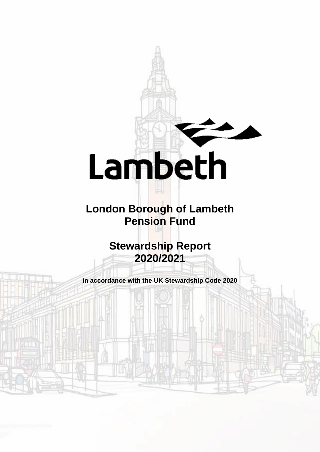

# **London Borough of Lambeth Pension Fund**

**Stewardship Report 2020/2021**

**in accordance with the UK Stewardship Code 2020**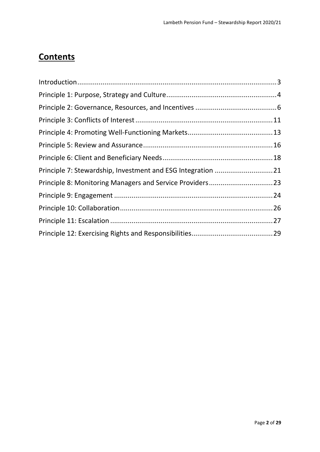### **Contents**

| Principle 7: Stewardship, Investment and ESG Integration 21 |  |
|-------------------------------------------------------------|--|
| Principle 8: Monitoring Managers and Service Providers23    |  |
|                                                             |  |
|                                                             |  |
|                                                             |  |
|                                                             |  |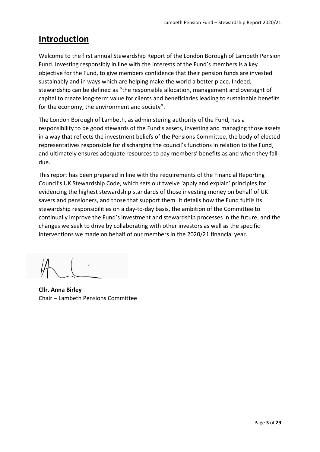### <span id="page-2-0"></span>**Introduction**

Welcome to the first annual Stewardship Report of the London Borough of Lambeth Pension Fund. Investing responsibly in line with the interests of the Fund's members is a key objective for the Fund, to give members confidence that their pension funds are invested sustainably and in ways which are helping make the world a better place. Indeed, stewardship can be defined as "the responsible allocation, management and oversight of capital to create long-term value for clients and beneficiaries leading to sustainable benefits for the economy, the environment and society".

The London Borough of Lambeth, as administering authority of the Fund, has a responsibility to be good stewards of the Fund's assets, investing and managing those assets in a way that reflects the investment beliefs of the Pensions Committee, the body of elected representatives responsible for discharging the council's functions in relation to the Fund, and ultimately ensures adequate resources to pay members' benefits as and when they fall due.

This report has been prepared in line with the requirements of the Financial Reporting Council's UK Stewardship Code, which sets out twelve 'apply and explain' principles for evidencing the highest stewardship standards of those investing money on behalf of UK savers and pensioners, and those that support them. It details how the Fund fulfils its stewardship responsibilities on a day-to-day basis, the ambition of the Committee to continually improve the Fund's investment and stewardship processes in the future, and the changes we seek to drive by collaborating with other investors as well as the specific interventions we made on behalf of our members in the 2020/21 financial year.

**Cllr. Anna Birley** Chair – Lambeth Pensions Committee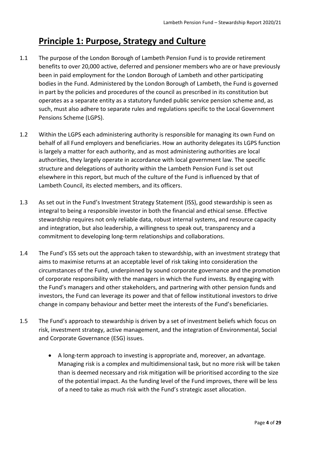### <span id="page-3-0"></span>**Principle 1: Purpose, Strategy and Culture**

- 1.1 The purpose of the London Borough of Lambeth Pension Fund is to provide retirement benefits to over 20,000 active, deferred and pensioner members who are or have previously been in paid employment for the London Borough of Lambeth and other participating bodies in the Fund. Administered by the London Borough of Lambeth, the Fund is governed in part by the policies and procedures of the council as prescribed in its constitution but operates as a separate entity as a statutory funded public service pension scheme and, as such, must also adhere to separate rules and regulations specific to the Local Government Pensions Scheme (LGPS).
- 1.2 Within the LGPS each administering authority is responsible for managing its own Fund on behalf of all Fund employers and beneficiaries. How an authority delegates its LGPS function is largely a matter for each authority, and as most administering authorities are local authorities, they largely operate in accordance with local government law. The specific structure and delegations of authority within the Lambeth Pension Fund is set out elsewhere in this report, but much of the culture of the Fund is influenced by that of Lambeth Council, its elected members, and its officers.
- 1.3 As set out in the Fund's Investment Strategy Statement (ISS), good stewardship is seen as integral to being a responsible investor in both the financial and ethical sense. Effective stewardship requires not only reliable data, robust internal systems, and resource capacity and integration, but also leadership, a willingness to speak out, transparency and a commitment to developing long-term relationships and collaborations.
- 1.4 The Fund's ISS sets out the approach taken to stewardship, with an investment strategy that aims to maximise returns at an acceptable level of risk taking into consideration the circumstances of the Fund, underpinned by sound corporate governance and the promotion of corporate responsibility with the managers in which the Fund invests. By engaging with the Fund's managers and other stakeholders, and partnering with other pension funds and investors, the Fund can leverage its power and that of fellow institutional investors to drive change in company behaviour and better meet the interests of the Fund's beneficiaries.
- 1.5 The Fund's approach to stewardship is driven by a set of investment beliefs which focus on risk, investment strategy, active management, and the integration of Environmental, Social and Corporate Governance (ESG) issues.
	- A long-term approach to investing is appropriate and, moreover, an advantage. Managing risk is a complex and multidimensional task, but no more risk will be taken than is deemed necessary and risk mitigation will be prioritised according to the size of the potential impact. As the funding level of the Fund improves, there will be less of a need to take as much risk with the Fund's strategic asset allocation.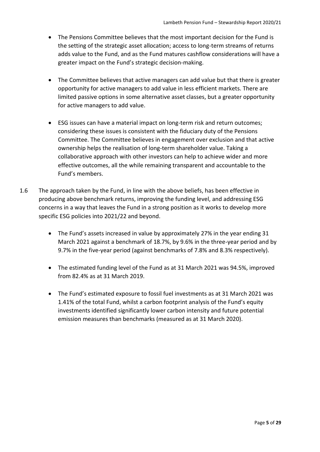- The Pensions Committee believes that the most important decision for the Fund is the setting of the strategic asset allocation; access to long-term streams of returns adds value to the Fund, and as the Fund matures cashflow considerations will have a greater impact on the Fund's strategic decision-making.
- The Committee believes that active managers can add value but that there is greater opportunity for active managers to add value in less efficient markets. There are limited passive options in some alternative asset classes, but a greater opportunity for active managers to add value.
- ESG issues can have a material impact on long-term risk and return outcomes; considering these issues is consistent with the fiduciary duty of the Pensions Committee. The Committee believes in engagement over exclusion and that active ownership helps the realisation of long-term shareholder value. Taking a collaborative approach with other investors can help to achieve wider and more effective outcomes, all the while remaining transparent and accountable to the Fund's members.
- 1.6 The approach taken by the Fund, in line with the above beliefs, has been effective in producing above benchmark returns, improving the funding level, and addressing ESG concerns in a way that leaves the Fund in a strong position as it works to develop more specific ESG policies into 2021/22 and beyond.
	- The Fund's assets increased in value by approximately 27% in the year ending 31 March 2021 against a benchmark of 18.7%, by 9.6% in the three-year period and by 9.7% in the five-year period (against benchmarks of 7.8% and 8.3% respectively).
	- The estimated funding level of the Fund as at 31 March 2021 was 94.5%, improved from 82.4% as at 31 March 2019.
	- The Fund's estimated exposure to fossil fuel investments as at 31 March 2021 was 1.41% of the total Fund, whilst a carbon footprint analysis of the Fund's equity investments identified significantly lower carbon intensity and future potential emission measures than benchmarks (measured as at 31 March 2020).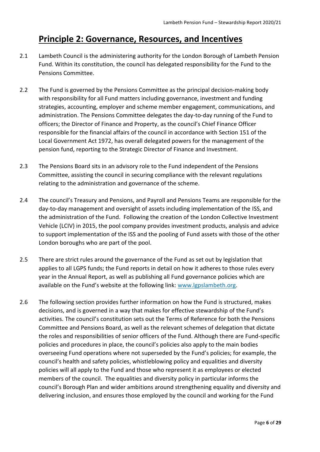### <span id="page-5-0"></span>**Principle 2: Governance, Resources, and Incentives**

- 2.1 Lambeth Council is the administering authority for the London Borough of Lambeth Pension Fund. Within its constitution, the council has delegated responsibility for the Fund to the Pensions Committee.
- 2.2 The Fund is governed by the Pensions Committee as the principal decision-making body with responsibility for all Fund matters including governance, investment and funding strategies, accounting, employer and scheme member engagement, communications, and administration. The Pensions Committee delegates the day-to-day running of the Fund to officers; the Director of Finance and Property, as the council's Chief Finance Officer responsible for the financial affairs of the council in accordance with Section 151 of the Local Government Act 1972, has overall delegated powers for the management of the pension fund, reporting to the Strategic Director of Finance and Investment.
- 2.3 The Pensions Board sits in an advisory role to the Fund independent of the Pensions Committee, assisting the council in securing compliance with the relevant regulations relating to the administration and governance of the scheme.
- 2.4 The council's Treasury and Pensions, and Payroll and Pensions Teams are responsible for the day-to-day management and oversight of assets including implementation of the ISS, and the administration of the Fund. Following the creation of the London Collective Investment Vehicle (LCIV) in 2015, the pool company provides investment products, analysis and advice to support implementation of the ISS and the pooling of Fund assets with those of the other London boroughs who are part of the pool.
- 2.5 There are strict rules around the governance of the Fund as set out by legislation that applies to all LGPS funds; the Fund reports in detail on how it adheres to those rules every year in the Annual Report, as well as publishing all Fund governance policies which are available on the Fund's website at the following link: [www.lgpslambeth.org.](http://www.lgpslambeth.org/)
- 2.6 The following section provides further information on how the Fund is structured, makes decisions, and is governed in a way that makes for effective stewardship of the Fund's activities. The council's constitution sets out the Terms of Reference for both the Pensions Committee and Pensions Board, as well as the relevant schemes of delegation that dictate the roles and responsibilities of senior officers of the Fund. Although there are Fund-specific policies and procedures in place, the council's policies also apply to the main bodies overseeing Fund operations where not superseded by the Fund's policies; for example, the council's health and safety policies, whistleblowing policy and equalities and diversity policies will all apply to the Fund and those who represent it as employees or elected members of the council. The equalities and diversity policy in particular informs the council's Borough Plan and wider ambitions around strengthening equality and diversity and delivering inclusion, and ensures those employed by the council and working for the Fund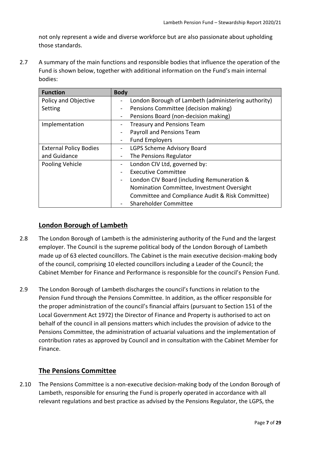not only represent a wide and diverse workforce but are also passionate about upholding those standards.

2.7 A summary of the main functions and responsible bodies that influence the operation of the Fund is shown below, together with additional information on the Fund's main internal bodies:

| <b>Function</b>               | <b>Body</b>                                         |  |
|-------------------------------|-----------------------------------------------------|--|
| <b>Policy and Objective</b>   | London Borough of Lambeth (administering authority) |  |
| Setting                       | Pensions Committee (decision making)                |  |
|                               | Pensions Board (non-decision making)                |  |
| Implementation                | <b>Treasury and Pensions Team</b>                   |  |
|                               | Payroll and Pensions Team                           |  |
|                               | <b>Fund Employers</b>                               |  |
| <b>External Policy Bodies</b> | LGPS Scheme Advisory Board                          |  |
| and Guidance                  | The Pensions Regulator                              |  |
| Pooling Vehicle               | London CIV Ltd, governed by:                        |  |
|                               | <b>Executive Committee</b>                          |  |
|                               | London CIV Board (including Remuneration &          |  |
|                               | Nomination Committee, Investment Oversight          |  |
|                               | Committee and Compliance Audit & Risk Committee)    |  |
|                               | Shareholder Committee                               |  |

#### **London Borough of Lambeth**

- 2.8 The London Borough of Lambeth is the administering authority of the Fund and the largest employer. The Council is the supreme political body of the London Borough of Lambeth made up of 63 elected councillors. The Cabinet is the main executive decision-making body of the council, comprising 10 elected councillors including a Leader of the Council; the Cabinet Member for Finance and Performance is responsible for the council's Pension Fund.
- 2.9 The London Borough of Lambeth discharges the council's functions in relation to the Pension Fund through the Pensions Committee. In addition, as the officer responsible for the proper administration of the council's financial affairs (pursuant to Section 151 of the Local Government Act 1972) the Director of Finance and Property is authorised to act on behalf of the council in all pensions matters which includes the provision of advice to the Pensions Committee, the administration of actuarial valuations and the implementation of contribution rates as approved by Council and in consultation with the Cabinet Member for Finance.

#### **The Pensions Committee**

2.10 The Pensions Committee is a non-executive decision-making body of the London Borough of Lambeth, responsible for ensuring the Fund is properly operated in accordance with all relevant regulations and best practice as advised by the Pensions Regulator, the LGPS, the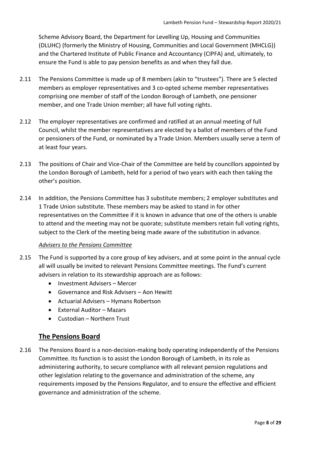Scheme Advisory Board, the Department for Levelling Up, Housing and Communities (DLUHC) (formerly the Ministry of Housing, Communities and Local Government (MHCLG)) and the Chartered Institute of Public Finance and Accountancy (CIPFA) and, ultimately, to ensure the Fund is able to pay pension benefits as and when they fall due.

- 2.11 The Pensions Committee is made up of 8 members (akin to "trustees"). There are 5 elected members as employer representatives and 3 co-opted scheme member representatives comprising one member of staff of the London Borough of Lambeth, one pensioner member, and one Trade Union member; all have full voting rights.
- 2.12 The employer representatives are confirmed and ratified at an annual meeting of full Council, whilst the member representatives are elected by a ballot of members of the Fund or pensioners of the Fund, or nominated by a Trade Union. Members usually serve a term of at least four years.
- 2.13 The positions of Chair and Vice-Chair of the Committee are held by councillors appointed by the London Borough of Lambeth, held for a period of two years with each then taking the other's position.
- 2.14 In addition, the Pensions Committee has 3 substitute members; 2 employer substitutes and 1 Trade Union substitute. These members may be asked to stand in for other representatives on the Committee if it is known in advance that one of the others is unable to attend and the meeting may not be quorate; substitute members retain full voting rights, subject to the Clerk of the meeting being made aware of the substitution in advance.

#### *Advisers to the Pensions Committee*

- 2.15 The Fund is supported by a core group of key advisers, and at some point in the annual cycle all will usually be invited to relevant Pensions Committee meetings. The Fund's current advisers in relation to its stewardship approach are as follows:
	- Investment Advisers Mercer
	- Governance and Risk Advisers Aon Hewitt
	- Actuarial Advisers Hymans Robertson
	- External Auditor Mazars
	- Custodian Northern Trust

#### **The Pensions Board**

2.16 The Pensions Board is a non-decision-making body operating independently of the Pensions Committee. Its function is to assist the London Borough of Lambeth, in its role as administering authority, to secure compliance with all relevant pension regulations and other legislation relating to the governance and administration of the scheme, any requirements imposed by the Pensions Regulator, and to ensure the effective and efficient governance and administration of the scheme.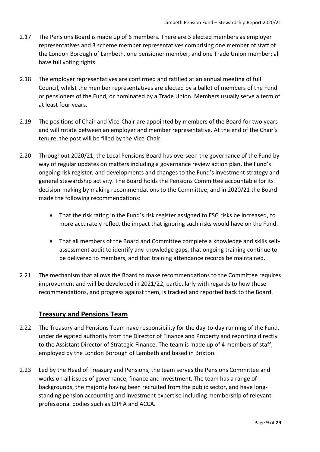- 2.17 The Pensions Board is made up of 6 members. There are 3 elected members as employer representatives and 3 scheme member representatives comprising one member of staff of the London Borough of Lambeth, one pensioner member, and one Trade Union member; all have full voting rights.
- 2.18 The employer representatives are confirmed and ratified at an annual meeting of full Council, whilst the member representatives are elected by a ballot of members of the Fund or pensioners of the Fund, or nominated by a Trade Union. Members usually serve a term of at least four years.
- 2.19 The positions of Chair and Vice-Chair are appointed by members of the Board for two years and will rotate between an employer and member representative. At the end of the Chair's tenure, the post will be filled by the Vice-Chair.
- 2.20 Throughout 2020/21, the Local Pensions Board has overseen the governance of the Fund by way of regular updates on matters including a governance review action plan, the Fund's ongoing risk register, and developments and changes to the Fund's investment strategy and general stewardship activity. The Board holds the Pensions Committee accountable for its decision-making by making recommendations to the Committee, and in 2020/21 the Board made the following recommendations:
	- That the risk rating in the Fund's risk register assigned to ESG risks be increased, to more accurately reflect the impact that ignoring such risks would have on the Fund.
	- That all members of the Board and Committee complete a knowledge and skills selfassessment audit to identify any knowledge gaps, that ongoing training continue to be delivered to members, and that training attendance records be maintained.
- 2.21 The mechanism that allows the Board to make recommendations to the Committee requires improvement and will be developed in 2021/22, particularly with regards to how those recommendations, and progress against them, is tracked and reported back to the Board.

#### **Treasury and Pensions Team**

- 2.22 The Treasury and Pensions Team have responsibility for the day-to-day running of the Fund, under delegated authority from the Director of Finance and Property and reporting directly to the Assistant Director of Strategic Finance. The team is made up of 4 members of staff, employed by the London Borough of Lambeth and based in Brixton.
- 2.23 Led by the Head of Treasury and Pensions, the team serves the Pensions Committee and works on all issues of governance, finance and investment. The team has a range of backgrounds, the majority having been recruited from the public sector, and have longstanding pension accounting and investment expertise including membership of relevant professional bodies such as CIPFA and ACCA.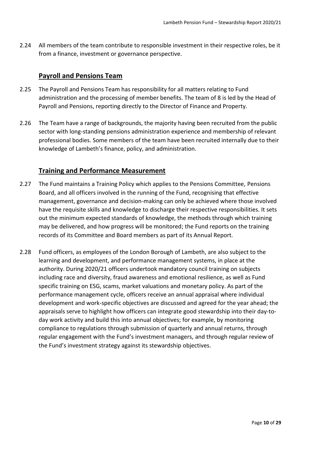2.24 All members of the team contribute to responsible investment in their respective roles, be it from a finance, investment or governance perspective.

#### **Payroll and Pensions Team**

- 2.25 The Payroll and Pensions Team has responsibility for all matters relating to Fund administration and the processing of member benefits. The team of 8 is led by the Head of Payroll and Pensions, reporting directly to the Director of Finance and Property.
- 2.26 The Team have a range of backgrounds, the majority having been recruited from the public sector with long-standing pensions administration experience and membership of relevant professional bodies. Some members of the team have been recruited internally due to their knowledge of Lambeth's finance, policy, and administration.

#### **Training and Performance Measurement**

- 2.27 The Fund maintains a Training Policy which applies to the Pensions Committee, Pensions Board, and all officers involved in the running of the Fund, recognising that effective management, governance and decision-making can only be achieved where those involved have the requisite skills and knowledge to discharge their respective responsibilities. It sets out the minimum expected standards of knowledge, the methods through which training may be delivered, and how progress will be monitored; the Fund reports on the training records of its Committee and Board members as part of its Annual Report.
- 2.28 Fund officers, as employees of the London Borough of Lambeth, are also subject to the learning and development, and performance management systems, in place at the authority. During 2020/21 officers undertook mandatory council training on subjects including race and diversity, fraud awareness and emotional resilience, as well as Fund specific training on ESG, scams, market valuations and monetary policy. As part of the performance management cycle, officers receive an annual appraisal where individual development and work-specific objectives are discussed and agreed for the year ahead; the appraisals serve to highlight how officers can integrate good stewardship into their day-today work activity and build this into annual objectives; for example, by monitoring compliance to regulations through submission of quarterly and annual returns, through regular engagement with the Fund's investment managers, and through regular review of the Fund's investment strategy against its stewardship objectives.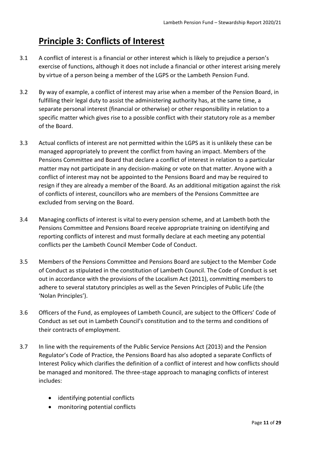### <span id="page-10-0"></span>**Principle 3: Conflicts of Interest**

- 3.1 A conflict of interest is a financial or other interest which is likely to prejudice a person's exercise of functions, although it does not include a financial or other interest arising merely by virtue of a person being a member of the LGPS or the Lambeth Pension Fund.
- 3.2 By way of example, a conflict of interest may arise when a member of the Pension Board, in fulfilling their legal duty to assist the administering authority has, at the same time, a separate personal interest (financial or otherwise) or other responsibility in relation to a specific matter which gives rise to a possible conflict with their statutory role as a member of the Board.
- 3.3 Actual conflicts of interest are not permitted within the LGPS as it is unlikely these can be managed appropriately to prevent the conflict from having an impact. Members of the Pensions Committee and Board that declare a conflict of interest in relation to a particular matter may not participate in any decision-making or vote on that matter. Anyone with a conflict of interest may not be appointed to the Pensions Board and may be required to resign if they are already a member of the Board. As an additional mitigation against the risk of conflicts of interest, councillors who are members of the Pensions Committee are excluded from serving on the Board.
- 3.4 Managing conflicts of interest is vital to every pension scheme, and at Lambeth both the Pensions Committee and Pensions Board receive appropriate training on identifying and reporting conflicts of interest and must formally declare at each meeting any potential conflicts per the Lambeth Council Member Code of Conduct.
- 3.5 Members of the Pensions Committee and Pensions Board are subject to the Member Code of Conduct as stipulated in the constitution of Lambeth Council. The Code of Conduct is set out in accordance with the provisions of the Localism Act (2011), committing members to adhere to several statutory principles as well as the Seven Principles of Public Life (the 'Nolan Principles').
- 3.6 Officers of the Fund, as employees of Lambeth Council, are subject to the Officers' Code of Conduct as set out in Lambeth Council's constitution and to the terms and conditions of their contracts of employment.
- 3.7 In line with the requirements of the Public Service Pensions Act (2013) and the Pension Regulator's Code of Practice, the Pensions Board has also adopted a separate Conflicts of Interest Policy which clarifies the definition of a conflict of interest and how conflicts should be managed and monitored. The three-stage approach to managing conflicts of interest includes:
	- identifying potential conflicts
	- monitoring potential conflicts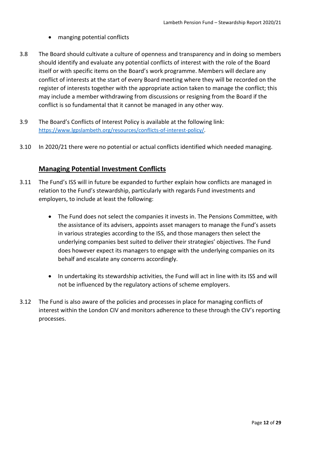- manging potential conflicts
- 3.8 The Board should cultivate a culture of openness and transparency and in doing so members should identify and evaluate any potential conflicts of interest with the role of the Board itself or with specific items on the Board's work programme. Members will declare any conflict of interests at the start of every Board meeting where they will be recorded on the register of interests together with the appropriate action taken to manage the conflict; this may include a member withdrawing from discussions or resigning from the Board if the conflict is so fundamental that it cannot be managed in any other way.
- 3.9 The Board's Conflicts of Interest Policy is available at the following link: [https://www.lgpslambeth.org/resources/conflicts-of-interest-policy/.](https://www.lgpslambeth.org/resources/conflicts-of-interest-policy/)
- 3.10 In 2020/21 there were no potential or actual conflicts identified which needed managing.

#### **Managing Potential Investment Conflicts**

- 3.11 The Fund's ISS will in future be expanded to further explain how conflicts are managed in relation to the Fund's stewardship, particularly with regards Fund investments and employers, to include at least the following:
	- The Fund does not select the companies it invests in. The Pensions Committee, with the assistance of its advisers, appoints asset managers to manage the Fund's assets in various strategies according to the ISS, and those managers then select the underlying companies best suited to deliver their strategies' objectives. The Fund does however expect its managers to engage with the underlying companies on its behalf and escalate any concerns accordingly.
	- In undertaking its stewardship activities, the Fund will act in line with its ISS and will not be influenced by the regulatory actions of scheme employers.
- 3.12 The Fund is also aware of the policies and processes in place for managing conflicts of interest within the London CIV and monitors adherence to these through the CIV's reporting processes.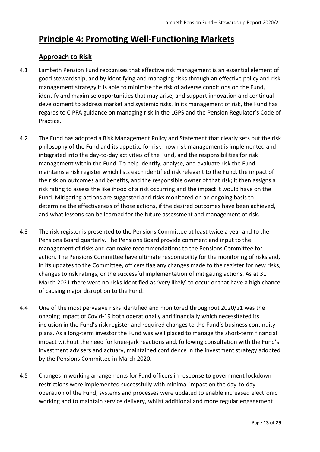### <span id="page-12-0"></span>**Principle 4: Promoting Well-Functioning Markets**

### **Approach to Risk**

- 4.1 Lambeth Pension Fund recognises that effective risk management is an essential element of good stewardship, and by identifying and managing risks through an effective policy and risk management strategy it is able to minimise the risk of adverse conditions on the Fund, identify and maximise opportunities that may arise, and support innovation and continual development to address market and systemic risks. In its management of risk, the Fund has regards to CIPFA guidance on managing risk in the LGPS and the Pension Regulator's Code of Practice.
- 4.2 The Fund has adopted a Risk Management Policy and Statement that clearly sets out the risk philosophy of the Fund and its appetite for risk, how risk management is implemented and integrated into the day-to-day activities of the Fund, and the responsibilities for risk management within the Fund. To help identify, analyse, and evaluate risk the Fund maintains a risk register which lists each identified risk relevant to the Fund, the impact of the risk on outcomes and benefits, and the responsible owner of that risk; it then assigns a risk rating to assess the likelihood of a risk occurring and the impact it would have on the Fund. Mitigating actions are suggested and risks monitored on an ongoing basis to determine the effectiveness of those actions, if the desired outcomes have been achieved, and what lessons can be learned for the future assessment and management of risk.
- 4.3 The risk register is presented to the Pensions Committee at least twice a year and to the Pensions Board quarterly. The Pensions Board provide comment and input to the management of risks and can make recommendations to the Pensions Committee for action. The Pensions Committee have ultimate responsibility for the monitoring of risks and, in its updates to the Committee, officers flag any changes made to the register for new risks, changes to risk ratings, or the successful implementation of mitigating actions. As at 31 March 2021 there were no risks identified as 'very likely' to occur or that have a high chance of causing major disruption to the Fund.
- 4.4 One of the most pervasive risks identified and monitored throughout 2020/21 was the ongoing impact of Covid-19 both operationally and financially which necessitated its inclusion in the Fund's risk register and required changes to the Fund's business continuity plans. As a long-term investor the Fund was well placed to manage the short-term financial impact without the need for knee-jerk reactions and, following consultation with the Fund's investment advisers and actuary, maintained confidence in the investment strategy adopted by the Pensions Committee in March 2020.
- 4.5 Changes in working arrangements for Fund officers in response to government lockdown restrictions were implemented successfully with minimal impact on the day-to-day operation of the Fund; systems and processes were updated to enable increased electronic working and to maintain service delivery, whilst additional and more regular engagement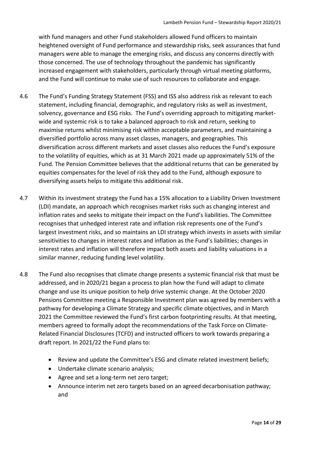with fund managers and other Fund stakeholders allowed Fund officers to maintain heightened oversight of Fund performance and stewardship risks, seek assurances that fund managers were able to manage the emerging risks, and discuss any concerns directly with those concerned. The use of technology throughout the pandemic has significantly increased engagement with stakeholders, particularly through virtual meeting platforms, and the Fund will continue to make use of such resources to collaborate and engage.

- 4.6 The Fund's Funding Strategy Statement (FSS) and ISS also address risk as relevant to each statement, including financial, demographic, and regulatory risks as well as investment, solvency, governance and ESG risks. The Fund's overriding approach to mitigating marketwide and systemic risk is to take a balanced approach to risk and return, seeking to maximise returns whilst minimising risk within acceptable parameters, and maintaining a diversified portfolio across many asset classes, managers, and geographies. This diversification across different markets and asset classes also reduces the Fund's exposure to the volatility of equities, which as at 31 March 2021 made up approximately 51% of the Fund. The Pension Committee believes that the additional returns that can be generated by equities compensates for the level of risk they add to the Fund, although exposure to diversifying assets helps to mitigate this additional risk.
- 4.7 Within its investment strategy the Fund has a 15% allocation to a Liability Driven Investment (LDI) mandate, an approach which recognises market risks such as changing interest and inflation rates and seeks to mitigate their impact on the Fund's liabilities. The Committee recognises that unhedged interest rate and inflation risk represents one of the Fund's largest investment risks, and so maintains an LDI strategy which invests in assets with similar sensitivities to changes in interest rates and inflation as the Fund's liabilities; changes in interest rates and inflation will therefore impact both assets and liability valuations in a similar manner, reducing funding level volatility.
- 4.8 The Fund also recognises that climate change presents a systemic financial risk that must be addressed, and in 2020/21 began a process to plan how the Fund will adapt to climate change and use its unique position to help drive systemic change. At the October 2020 Pensions Committee meeting a Responsible Investment plan was agreed by members with a pathway for developing a Climate Strategy and specific climate objectives, and in March 2021 the Committee reviewed the Fund's first carbon footprinting results. At that meeting, members agreed to formally adopt the recommendations of the Task Force on Climate-Related Financial Disclosures (TCFD) and instructed officers to work towards preparing a draft report. In 2021/22 the Fund plans to:
	- Review and update the Committee's ESG and climate related investment beliefs;
	- Undertake climate scenario analysis;
	- Agree and set a long-term net zero target;
	- Announce interim net zero targets based on an agreed decarbonisation pathway; and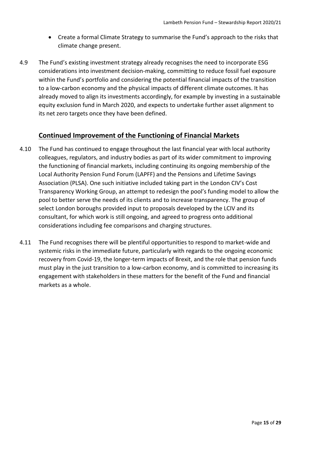- Create a formal Climate Strategy to summarise the Fund's approach to the risks that climate change present.
- 4.9 The Fund's existing investment strategy already recognises the need to incorporate ESG considerations into investment decision-making, committing to reduce fossil fuel exposure within the Fund's portfolio and considering the potential financial impacts of the transition to a low-carbon economy and the physical impacts of different climate outcomes. It has already moved to align its investments accordingly, for example by investing in a sustainable equity exclusion fund in March 2020, and expects to undertake further asset alignment to its net zero targets once they have been defined.

#### **Continued Improvement of the Functioning of Financial Markets**

- 4.10 The Fund has continued to engage throughout the last financial year with local authority colleagues, regulators, and industry bodies as part of its wider commitment to improving the functioning of financial markets, including continuing its ongoing membership of the Local Authority Pension Fund Forum (LAPFF) and the Pensions and Lifetime Savings Association (PLSA). One such initiative included taking part in the London CIV's Cost Transparency Working Group, an attempt to redesign the pool's funding model to allow the pool to better serve the needs of its clients and to increase transparency. The group of select London boroughs provided input to proposals developed by the LCIV and its consultant, for which work is still ongoing, and agreed to progress onto additional considerations including fee comparisons and charging structures.
- 4.11 The Fund recognises there will be plentiful opportunities to respond to market-wide and systemic risks in the immediate future, particularly with regards to the ongoing economic recovery from Covid-19, the longer-term impacts of Brexit, and the role that pension funds must play in the just transition to a low-carbon economy, and is committed to increasing its engagement with stakeholders in these matters for the benefit of the Fund and financial markets as a whole.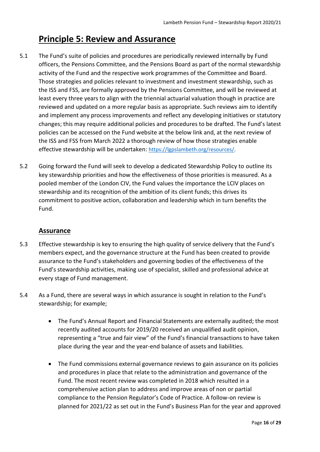### <span id="page-15-0"></span>**Principle 5: Review and Assurance**

- 5.1 The Fund's suite of policies and procedures are periodically reviewed internally by Fund officers, the Pensions Committee, and the Pensions Board as part of the normal stewardship activity of the Fund and the respective work programmes of the Committee and Board. Those strategies and policies relevant to investment and investment stewardship, such as the ISS and FSS, are formally approved by the Pensions Committee, and will be reviewed at least every three years to align with the triennial actuarial valuation though in practice are reviewed and updated on a more regular basis as appropriate. Such reviews aim to identify and implement any process improvements and reflect any developing initiatives or statutory changes; this may require additional policies and procedures to be drafted. The Fund's latest policies can be accessed on the Fund website at the below link and, at the next review of the ISS and FSS from March 2022 a thorough review of how those strategies enable effective stewardship will be undertaken: [https://lgpslambeth.org/resources/.](https://lgpslambeth.org/resources/)
- 5.2 Going forward the Fund will seek to develop a dedicated Stewardship Policy to outline its key stewardship priorities and how the effectiveness of those priorities is measured. As a pooled member of the London CIV, the Fund values the importance the LCIV places on stewardship and its recognition of the ambition of its client funds; this drives its commitment to positive action, collaboration and leadership which in turn benefits the Fund.

#### **Assurance**

- 5.3 Effective stewardship is key to ensuring the high quality of service delivery that the Fund's members expect, and the governance structure at the Fund has been created to provide assurance to the Fund's stakeholders and governing bodies of the effectiveness of the Fund's stewardship activities, making use of specialist, skilled and professional advice at every stage of Fund management.
- 5.4 As a Fund, there are several ways in which assurance is sought in relation to the Fund's stewardship; for example;
	- The Fund's Annual Report and Financial Statements are externally audited; the most recently audited accounts for 2019/20 received an unqualified audit opinion, representing a "true and fair view" of the Fund's financial transactions to have taken place during the year and the year-end balance of assets and liabilities.
	- The Fund commissions external governance reviews to gain assurance on its policies and procedures in place that relate to the administration and governance of the Fund. The most recent review was completed in 2018 which resulted in a comprehensive action plan to address and improve areas of non or partial compliance to the Pension Regulator's Code of Practice. A follow-on review is planned for 2021/22 as set out in the Fund's Business Plan for the year and approved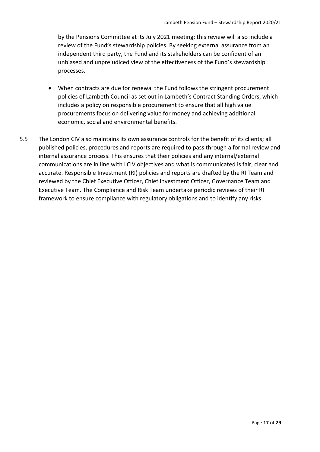by the Pensions Committee at its July 2021 meeting; this review will also include a review of the Fund's stewardship policies. By seeking external assurance from an independent third party, the Fund and its stakeholders can be confident of an unbiased and unprejudiced view of the effectiveness of the Fund's stewardship processes.

- When contracts are due for renewal the Fund follows the stringent procurement policies of Lambeth Council as set out in Lambeth's Contract Standing Orders, which includes a policy on responsible procurement to ensure that all high value procurements focus on delivering value for money and achieving additional economic, social and environmental benefits.
- 5.5 The London CIV also maintains its own assurance controls for the benefit of its clients; all published policies, procedures and reports are required to pass through a formal review and internal assurance process. This ensures that their policies and any internal/external communications are in line with LCIV objectives and what is communicated is fair, clear and accurate. Responsible Investment (RI) policies and reports are drafted by the RI Team and reviewed by the Chief Executive Officer, Chief Investment Officer, Governance Team and Executive Team. The Compliance and Risk Team undertake periodic reviews of their RI framework to ensure compliance with regulatory obligations and to identify any risks.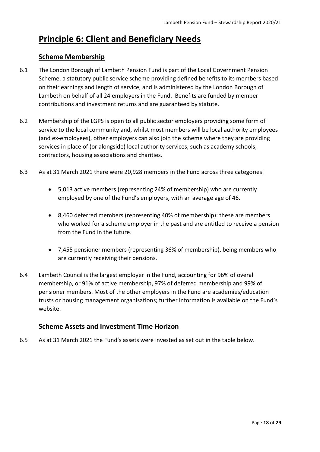### <span id="page-17-0"></span>**Principle 6: Client and Beneficiary Needs**

#### **Scheme Membership**

- 6.1 The London Borough of Lambeth Pension Fund is part of the Local Government Pension Scheme, a statutory public service scheme providing defined benefits to its members based on their earnings and length of service, and is administered by the London Borough of Lambeth on behalf of all 24 employers in the Fund. Benefits are funded by member contributions and investment returns and are guaranteed by statute.
- 6.2 Membership of the LGPS is open to all public sector employers providing some form of service to the local community and, whilst most members will be local authority employees (and ex-employees), other employers can also join the scheme where they are providing services in place of (or alongside) local authority services, such as academy schools, contractors, housing associations and charities.
- 6.3 As at 31 March 2021 there were 20,928 members in the Fund across three categories:
	- 5,013 active members (representing 24% of membership) who are currently employed by one of the Fund's employers, with an average age of 46.
	- 8,460 deferred members (representing 40% of membership): these are members who worked for a scheme employer in the past and are entitled to receive a pension from the Fund in the future.
	- 7,455 pensioner members (representing 36% of membership), being members who are currently receiving their pensions.
- 6.4 Lambeth Council is the largest employer in the Fund, accounting for 96% of overall membership, or 91% of active membership, 97% of deferred membership and 99% of pensioner members. Most of the other employers in the Fund are academies/education trusts or housing management organisations; further information is available on the Fund's website.

#### **Scheme Assets and Investment Time Horizon**

6.5 As at 31 March 2021 the Fund's assets were invested as set out in the table below.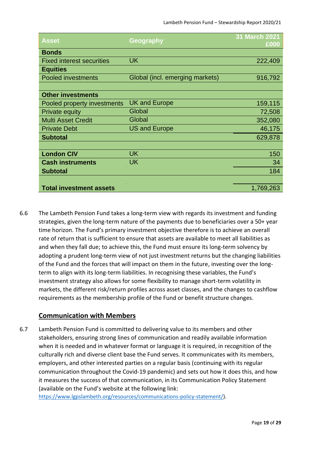| Asset                            | Geography                       | <b>31 March 2021</b><br>£000 |
|----------------------------------|---------------------------------|------------------------------|
| <b>Bonds</b>                     |                                 |                              |
| <b>Fixed interest securities</b> | <b>UK</b>                       | 222,409                      |
| <b>Equities</b>                  |                                 |                              |
| <b>Pooled investments</b>        | Global (incl. emerging markets) | 916,792                      |
|                                  |                                 |                              |
| <b>Other investments</b>         |                                 |                              |
| Pooled property investments      | <b>UK and Europe</b>            | 159,115                      |
| <b>Private equity</b>            | Global                          | 72,508                       |
| <b>Multi Asset Credit</b>        | Global                          | 352,080                      |
| <b>Private Debt</b>              | <b>US and Europe</b>            | 46,175                       |
| <b>Subtotal</b>                  |                                 | 629,878                      |
|                                  |                                 |                              |
| <b>London CIV</b>                | <b>UK</b>                       | 150                          |
| <b>Cash instruments</b>          | <b>UK</b>                       | 34                           |
| <b>Subtotal</b>                  |                                 | 184                          |
|                                  |                                 |                              |
| <b>Total investment assets</b>   |                                 | 1,769,263                    |

6.6 The Lambeth Pension Fund takes a long-term view with regards its investment and funding strategies, given the long-term nature of the payments due to beneficiaries over a 50+ year time horizon. The Fund's primary investment objective therefore is to achieve an overall rate of return that is sufficient to ensure that assets are available to meet all liabilities as and when they fall due; to achieve this, the Fund must ensure its long-term solvency by adopting a prudent long-term view of not just investment returns but the changing liabilities of the Fund and the forces that will impact on them in the future, investing over the longterm to align with its long-term liabilities. In recognising these variables, the Fund's investment strategy also allows for some flexibility to manage short-term volatility in markets, the different risk/return profiles across asset classes, and the changes to cashflow requirements as the membership profile of the Fund or benefit structure changes.

#### **Communication with Members**

6.7 Lambeth Pension Fund is committed to delivering value to its members and other stakeholders, ensuring strong lines of communication and readily available information when it is needed and in whatever format or language it is required, in recognition of the culturally rich and diverse client base the Fund serves. It communicates with its members, employers, and other interested parties on a regular basis (continuing with its regular communication throughout the Covid-19 pandemic) and sets out how it does this, and how it measures the success of that communication, in its Communication Policy Statement (available on the Fund's website at the following link: [https://www.lgpslambeth.org/resources/communications-policy-statement/\)](https://www.lgpslambeth.org/resources/communications-policy-statement/).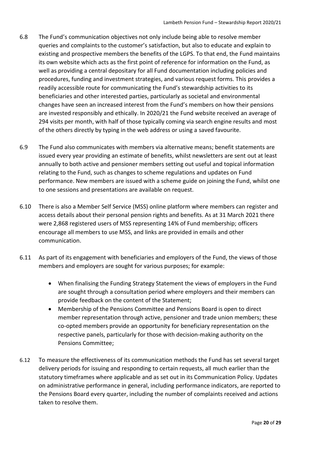- 6.8 The Fund's communication objectives not only include being able to resolve member queries and complaints to the customer's satisfaction, but also to educate and explain to existing and prospective members the benefits of the LGPS. To that end, the Fund maintains its own website which acts as the first point of reference for information on the Fund, as well as providing a central depositary for all Fund documentation including policies and procedures, funding and investment strategies, and various request forms. This provides a readily accessible route for communicating the Fund's stewardship activities to its beneficiaries and other interested parties, particularly as societal and environmental changes have seen an increased interest from the Fund's members on how their pensions are invested responsibly and ethically. In 2020/21 the Fund website received an average of 294 visits per month, with half of those typically coming via search engine results and most of the others directly by typing in the web address or using a saved favourite.
- 6.9 The Fund also communicates with members via alternative means; benefit statements are issued every year providing an estimate of benefits, whilst newsletters are sent out at least annually to both active and pensioner members setting out useful and topical information relating to the Fund, such as changes to scheme regulations and updates on Fund performance. New members are issued with a scheme guide on joining the Fund, whilst one to one sessions and presentations are available on request.
- 6.10 There is also a Member Self Service (MSS) online platform where members can register and access details about their personal pension rights and benefits. As at 31 March 2021 there were 2,868 registered users of MSS representing 14% of Fund membership; officers encourage all members to use MSS, and links are provided in emails and other communication.
- 6.11 As part of its engagement with beneficiaries and employers of the Fund, the views of those members and employers are sought for various purposes; for example:
	- When finalising the Funding Strategy Statement the views of employers in the Fund are sought through a consultation period where employers and their members can provide feedback on the content of the Statement;
	- Membership of the Pensions Committee and Pensions Board is open to direct member representation through active, pensioner and trade union members; these co-opted members provide an opportunity for beneficiary representation on the respective panels, particularly for those with decision-making authority on the Pensions Committee;
- 6.12 To measure the effectiveness of its communication methods the Fund has set several target delivery periods for issuing and responding to certain requests, all much earlier than the statutory timeframes where applicable and as set out in its Communication Policy. Updates on administrative performance in general, including performance indicators, are reported to the Pensions Board every quarter, including the number of complaints received and actions taken to resolve them.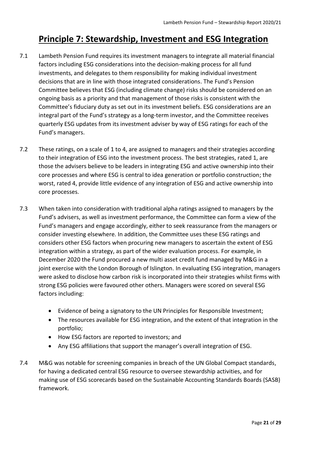### <span id="page-20-0"></span>**Principle 7: Stewardship, Investment and ESG Integration**

- 7.1 Lambeth Pension Fund requires its investment managers to integrate all material financial factors including ESG considerations into the decision-making process for all fund investments, and delegates to them responsibility for making individual investment decisions that are in line with those integrated considerations. The Fund's Pension Committee believes that ESG (including climate change) risks should be considered on an ongoing basis as a priority and that management of those risks is consistent with the Committee's fiduciary duty as set out in its investment beliefs. ESG considerations are an integral part of the Fund's strategy as a long-term investor, and the Committee receives quarterly ESG updates from its investment adviser by way of ESG ratings for each of the Fund's managers.
- 7.2 These ratings, on a scale of 1 to 4, are assigned to managers and their strategies according to their integration of ESG into the investment process. The best strategies, rated 1, are those the advisers believe to be leaders in integrating ESG and active ownership into their core processes and where ESG is central to idea generation or portfolio construction; the worst, rated 4, provide little evidence of any integration of ESG and active ownership into core processes.
- 7.3 When taken into consideration with traditional alpha ratings assigned to managers by the Fund's advisers, as well as investment performance, the Committee can form a view of the Fund's managers and engage accordingly, either to seek reassurance from the managers or consider investing elsewhere. In addition, the Committee uses these ESG ratings and considers other ESG factors when procuring new managers to ascertain the extent of ESG integration within a strategy, as part of the wider evaluation process. For example, in December 2020 the Fund procured a new multi asset credit fund managed by M&G in a joint exercise with the London Borough of Islington. In evaluating ESG integration, managers were asked to disclose how carbon risk is incorporated into their strategies whilst firms with strong ESG policies were favoured other others. Managers were scored on several ESG factors including:
	- Evidence of being a signatory to the UN Principles for Responsible Investment;
	- The resources available for ESG integration, and the extent of that integration in the portfolio;
	- How ESG factors are reported to investors; and
	- Any ESG affiliations that support the manager's overall integration of ESG.
- 7.4 M&G was notable for screening companies in breach of the UN Global Compact standards, for having a dedicated central ESG resource to oversee stewardship activities, and for making use of ESG scorecards based on the Sustainable Accounting Standards Boards (SASB) framework.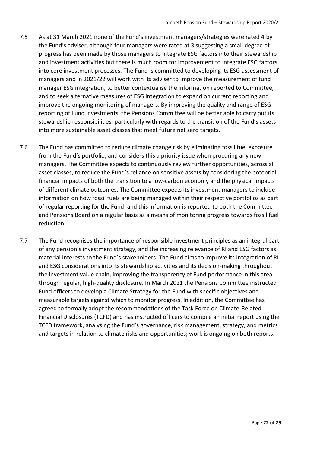- 7.5 As at 31 March 2021 none of the Fund's investment managers/strategies were rated 4 by the Fund's adviser, although four managers were rated at 3 suggesting a small degree of progress has been made by those managers to integrate ESG factors into their stewardship and investment activities but there is much room for improvement to integrate ESG factors into core investment processes. The Fund is committed to developing its ESG assessment of managers and in 2021/22 will work with its adviser to improve the measurement of fund manager ESG integration, to better contextualise the information reported to Committee, and to seek alternative measures of ESG integration to expand on current reporting and improve the ongoing monitoring of managers. By improving the quality and range of ESG reporting of Fund investments, the Pensions Committee will be better able to carry out its stewardship responsibilities, particularly with regards to the transition of the Fund's assets into more sustainable asset classes that meet future net zero targets.
- 7.6 The Fund has committed to reduce climate change risk by eliminating fossil fuel exposure from the Fund's portfolio, and considers this a priority issue when procuring any new managers. The Committee expects to continuously review further opportunities, across all asset classes, to reduce the Fund's reliance on sensitive assets by considering the potential financial impacts of both the transition to a low-carbon economy and the physical impacts of different climate outcomes. The Committee expects its investment managers to include information on how fossil fuels are being managed within their respective portfolios as part of regular reporting for the Fund, and this information is reported to both the Committee and Pensions Board on a regular basis as a means of monitoring progress towards fossil fuel reduction.
- 7.7 The Fund recognises the importance of responsible investment principles as an integral part of any pension's investment strategy, and the increasing relevance of RI and ESG factors as material interests to the Fund's stakeholders. The Fund aims to improve its integration of RI and ESG considerations into its stewardship activities and its decision-making throughout the investment value chain, improving the transparency of Fund performance in this area through regular, high-quality disclosure. In March 2021 the Pensions Committee instructed Fund officers to develop a Climate Strategy for the Fund with specific objectives and measurable targets against which to monitor progress. In addition, the Committee has agreed to formally adopt the recommendations of the Task Force on Climate-Related Financial Disclosures (TCFD) and has instructed officers to compile an initial report using the TCFD framework, analysing the Fund's governance, risk management, strategy, and metrics and targets in relation to climate risks and opportunities; work is ongoing on both reports.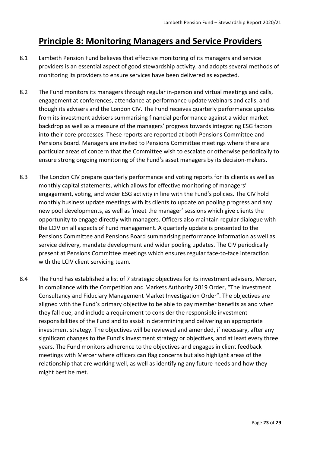### <span id="page-22-0"></span>**Principle 8: Monitoring Managers and Service Providers**

- 8.1 Lambeth Pension Fund believes that effective monitoring of its managers and service providers is an essential aspect of good stewardship activity, and adopts several methods of monitoring its providers to ensure services have been delivered as expected.
- 8.2 The Fund monitors its managers through regular in-person and virtual meetings and calls, engagement at conferences, attendance at performance update webinars and calls, and though its advisers and the London CIV. The Fund receives quarterly performance updates from its investment advisers summarising financial performance against a wider market backdrop as well as a measure of the managers' progress towards integrating ESG factors into their core processes. These reports are reported at both Pensions Committee and Pensions Board. Managers are invited to Pensions Committee meetings where there are particular areas of concern that the Committee wish to escalate or otherwise periodically to ensure strong ongoing monitoring of the Fund's asset managers by its decision-makers.
- 8.3 The London CIV prepare quarterly performance and voting reports for its clients as well as monthly capital statements, which allows for effective monitoring of managers' engagement, voting, and wider ESG activity in line with the Fund's policies. The CIV hold monthly business update meetings with its clients to update on pooling progress and any new pool developments, as well as 'meet the manager' sessions which give clients the opportunity to engage directly with managers. Officers also maintain regular dialogue with the LCIV on all aspects of Fund management. A quarterly update is presented to the Pensions Committee and Pensions Board summarising performance information as well as service delivery, mandate development and wider pooling updates. The CIV periodically present at Pensions Committee meetings which ensures regular face-to-face interaction with the LCIV client servicing team.
- 8.4 The Fund has established a list of 7 strategic objectives for its investment advisers, Mercer, in compliance with the Competition and Markets Authority 2019 Order, "The Investment Consultancy and Fiduciary Management Market Investigation Order". The objectives are aligned with the Fund's primary objective to be able to pay member benefits as and when they fall due, and include a requirement to consider the responsible investment responsibilities of the Fund and to assist in determining and delivering an appropriate investment strategy. The objectives will be reviewed and amended, if necessary, after any significant changes to the Fund's investment strategy or objectives, and at least every three years. The Fund monitors adherence to the objectives and engages in client feedback meetings with Mercer where officers can flag concerns but also highlight areas of the relationship that are working well, as well as identifying any future needs and how they might best be met.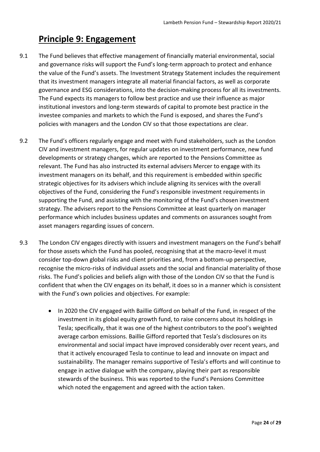### <span id="page-23-0"></span>**Principle 9: Engagement**

- 9.1 The Fund believes that effective management of financially material environmental, social and governance risks will support the Fund's long-term approach to protect and enhance the value of the Fund's assets. The Investment Strategy Statement includes the requirement that its investment managers integrate all material financial factors, as well as corporate governance and ESG considerations, into the decision-making process for all its investments. The Fund expects its managers to follow best practice and use their influence as major institutional investors and long-term stewards of capital to promote best practice in the investee companies and markets to which the Fund is exposed, and shares the Fund's policies with managers and the London CIV so that those expectations are clear.
- 9.2 The Fund's officers regularly engage and meet with Fund stakeholders, such as the London CIV and investment managers, for regular updates on investment performance, new fund developments or strategy changes, which are reported to the Pensions Committee as relevant. The Fund has also instructed its external advisers Mercer to engage with its investment managers on its behalf, and this requirement is embedded within specific strategic objectives for its advisers which include aligning its services with the overall objectives of the Fund, considering the Fund's responsible investment requirements in supporting the Fund, and assisting with the monitoring of the Fund's chosen investment strategy. The advisers report to the Pensions Committee at least quarterly on manager performance which includes business updates and comments on assurances sought from asset managers regarding issues of concern.
- 9.3 The London CIV engages directly with issuers and investment managers on the Fund's behalf for those assets which the Fund has pooled, recognising that at the macro-level it must consider top-down global risks and client priorities and, from a bottom-up perspective, recognise the micro-risks of individual assets and the social and financial materiality of those risks. The Fund's policies and beliefs align with those of the London CIV so that the Fund is confident that when the CIV engages on its behalf, it does so in a manner which is consistent with the Fund's own policies and objectives. For example:
	- In 2020 the CIV engaged with Baillie Gifford on behalf of the Fund, in respect of the investment in its global equity growth fund, to raise concerns about its holdings in Tesla; specifically, that it was one of the highest contributors to the pool's weighted average carbon emissions. Baillie Gifford reported that Tesla's disclosures on its environmental and social impact have improved considerably over recent years, and that it actively encouraged Tesla to continue to lead and innovate on impact and sustainability. The manager remains supportive of Tesla's efforts and will continue to engage in active dialogue with the company, playing their part as responsible stewards of the business. This was reported to the Fund's Pensions Committee which noted the engagement and agreed with the action taken.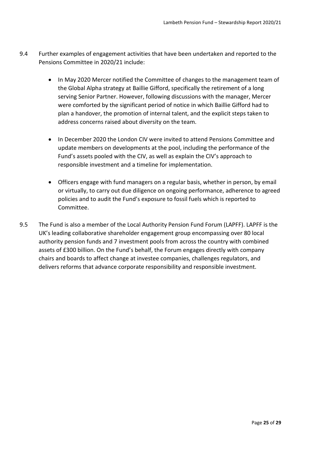- 9.4 Further examples of engagement activities that have been undertaken and reported to the Pensions Committee in 2020/21 include:
	- In May 2020 Mercer notified the Committee of changes to the management team of the Global Alpha strategy at Baillie Gifford, specifically the retirement of a long serving Senior Partner. However, following discussions with the manager, Mercer were comforted by the significant period of notice in which Baillie Gifford had to plan a handover, the promotion of internal talent, and the explicit steps taken to address concerns raised about diversity on the team.
	- In December 2020 the London CIV were invited to attend Pensions Committee and update members on developments at the pool, including the performance of the Fund's assets pooled with the CIV, as well as explain the CIV's approach to responsible investment and a timeline for implementation.
	- Officers engage with fund managers on a regular basis, whether in person, by email or virtually, to carry out due diligence on ongoing performance, adherence to agreed policies and to audit the Fund's exposure to fossil fuels which is reported to Committee.
- 9.5 The Fund is also a member of the Local Authority Pension Fund Forum (LAPFF). LAPFF is the UK's leading collaborative shareholder engagement group encompassing over 80 local authority pension funds and 7 investment pools from across the country with combined assets of £300 billion. On the Fund's behalf, the Forum engages directly with company chairs and boards to affect change at investee companies, challenges regulators, and delivers reforms that advance corporate responsibility and responsible investment.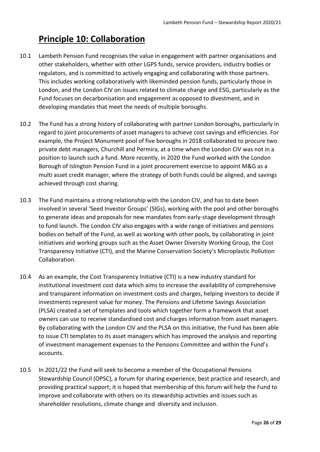## <span id="page-25-0"></span>**Principle 10: Collaboration**

- 10.1 Lambeth Pension Fund recognises the value in engagement with partner organisations and other stakeholders, whether with other LGPS funds, service providers, industry bodies or regulators, and is committed to actively engaging and collaborating with those partners. This includes working collaboratively with likeminded pension funds, particularly those in London, and the London CIV on issues related to climate change and ESG, particularly as the Fund focuses on decarbonisation and engagement as opposed to divestment, and in developing mandates that meet the needs of multiple boroughs.
- 10.2 The Fund has a strong history of collaborating with partner London boroughs, particularly in regard to joint procurements of asset managers to achieve cost savings and efficiencies. For example, the Project Monument pool of five boroughs in 2018 collaborated to procure two private debt managers, Churchill and Permira, at a time when the London CIV was not in a position to launch such a fund. More recently, in 2020 the Fund worked with the London Borough of Islington Pension Fund in a joint procurement exercise to appoint M&G as a multi asset credit manager, where the strategy of both Funds could be aligned, and savings achieved through cost sharing.
- 10.3 The Fund maintains a strong relationship with the London CIV, and has to date been involved in several 'Seed Investor Groups' (SIGs), working with the pool and other boroughs to generate ideas and proposals for new mandates from early-stage development through to fund launch. The London CIV also engages with a wide range of initiatives and pensions bodies on behalf of the Fund, as well as working with other pools, by collaborating in joint initiatives and working groups such as the Asset Owner Diversity Working Group, the Cost Transparency Initiative (CTI), and the Marine Conservation Society's Microplastic Pollution Collaboration.
- 10.4 As an example, the Cost Transparency Initiative (CTI) is a new industry standard for institutional investment cost data which aims to increase the availability of comprehensive and transparent information on investment costs and charges, helping investors to decide if investments represent value for money. The Pensions and Lifetime Savings Association (PLSA) created a set of templates and tools which together form a framework that asset owners can use to receive standardised cost and charges information from asset managers. By collaborating with the London CIV and the PLSA on this initiative, the Fund has been able to issue CTI templates to its asset managers which has improved the analysis and reporting of investment management expenses to the Pensions Committee and within the Fund's accounts.
- 10.5 In 2021/22 the Fund will seek to become a member of the Occupational Pensions Stewardship Council (OPSC), a forum for sharing experience, best practice and research, and providing practical support; it is hoped that membership of this forum will help the Fund to improve and collaborate with others on its stewardship activities and issues such as shareholder resolutions, climate change and diversity and inclusion.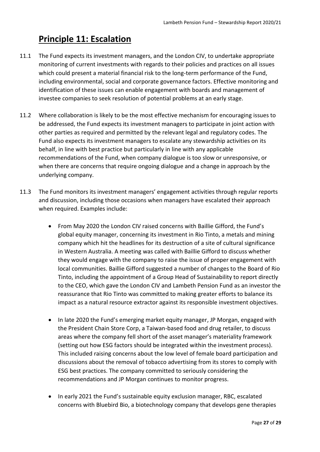## <span id="page-26-0"></span>**Principle 11: Escalation**

- 11.1 The Fund expects its investment managers, and the London CIV, to undertake appropriate monitoring of current investments with regards to their policies and practices on all issues which could present a material financial risk to the long-term performance of the Fund, including environmental, social and corporate governance factors. Effective monitoring and identification of these issues can enable engagement with boards and management of investee companies to seek resolution of potential problems at an early stage.
- 11.2 Where collaboration is likely to be the most effective mechanism for encouraging issues to be addressed, the Fund expects its investment managers to participate in joint action with other parties as required and permitted by the relevant legal and regulatory codes. The Fund also expects its investment managers to escalate any stewardship activities on its behalf, in line with best practice but particularly in line with any applicable recommendations of the Fund, when company dialogue is too slow or unresponsive, or when there are concerns that require ongoing dialogue and a change in approach by the underlying company.
- 11.3 The Fund monitors its investment managers' engagement activities through regular reports and discussion, including those occasions when managers have escalated their approach when required. Examples include:
	- From May 2020 the London CIV raised concerns with Baillie Gifford, the Fund's global equity manager, concerning its investment in Rio Tinto, a metals and mining company which hit the headlines for its destruction of a site of cultural significance in Western Australia. A meeting was called with Baillie Gifford to discuss whether they would engage with the company to raise the issue of proper engagement with local communities. Baillie Gifford suggested a number of changes to the Board of Rio Tinto, including the appointment of a Group Head of Sustainability to report directly to the CEO, which gave the London CIV and Lambeth Pension Fund as an investor the reassurance that Rio Tinto was committed to making greater efforts to balance its impact as a natural resource extractor against its responsible investment objectives.
	- In late 2020 the Fund's emerging market equity manager, JP Morgan, engaged with the President Chain Store Corp, a Taiwan-based food and drug retailer, to discuss areas where the company fell short of the asset manager's materiality framework (setting out how ESG factors should be integrated within the investment process). This included raising concerns about the low level of female board participation and discussions about the removal of tobacco advertising from its stores to comply with ESG best practices. The company committed to seriously considering the recommendations and JP Morgan continues to monitor progress.
	- In early 2021 the Fund's sustainable equity exclusion manager, RBC, escalated concerns with Bluebird Bio, a biotechnology company that develops gene therapies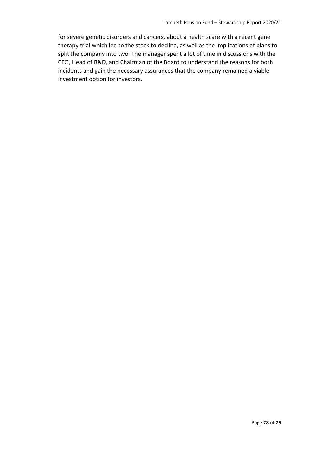for severe genetic disorders and cancers, about a health scare with a recent gene therapy trial which led to the stock to decline, as well as the implications of plans to split the company into two. The manager spent a lot of time in discussions with the CEO, Head of R&D, and Chairman of the Board to understand the reasons for both incidents and gain the necessary assurances that the company remained a viable investment option for investors.